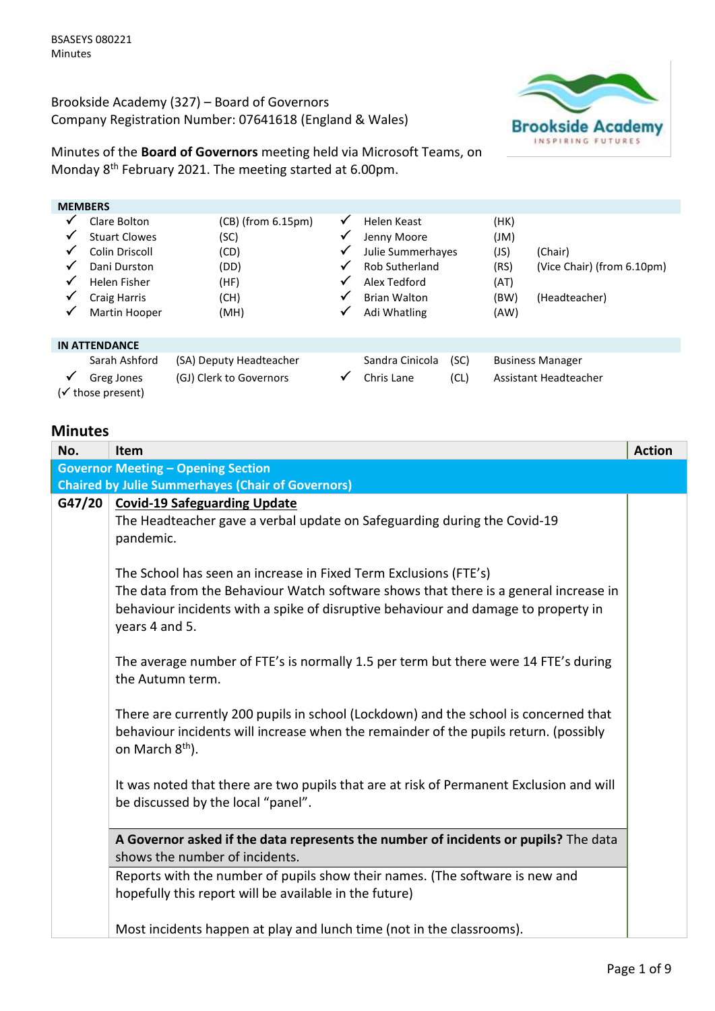Brookside Academy (327) – Board of Governors Company Registration Number: 07641618 (England & Wales)



Minutes of the **Board of Governors** meeting held via Microsoft Teams, on Monday 8<sup>th</sup> February 2021. The meeting started at 6.00pm.

| <b>MEMBERS</b>             |                                                                                                               |                                                                         |                            |                                                                                                                 |              |                                              |                                                        |
|----------------------------|---------------------------------------------------------------------------------------------------------------|-------------------------------------------------------------------------|----------------------------|-----------------------------------------------------------------------------------------------------------------|--------------|----------------------------------------------|--------------------------------------------------------|
| ✓<br>√<br>✓<br>✔<br>✔<br>✓ | Clare Bolton<br><b>Stuart Clowes</b><br>Colin Driscoll<br>Dani Durston<br>Helen Fisher<br><b>Craig Harris</b> | $(CB)$ (from $6.15 \text{pm}$ )<br>(SC)<br>(CD)<br>(DD)<br>(HF)<br>(CH) | √<br>√<br>√<br>√<br>√<br>√ | Helen Keast<br>Jenny Moore<br>Julie Summerhayes<br><b>Rob Sutherland</b><br>Alex Tedford<br><b>Brian Walton</b> |              | (HK)<br>(JM)<br>(JS)<br>(RS)<br>(AT)<br>(BW) | (Chair)<br>(Vice Chair) (from 6.10pm)<br>(Headteacher) |
| ✓                          | Martin Hooper                                                                                                 | (MH)                                                                    | √                          | Adi Whatling                                                                                                    |              | (AW)                                         |                                                        |
|                            | <b>IN ATTENDANCE</b>                                                                                          |                                                                         |                            |                                                                                                                 |              |                                              |                                                        |
| ✓                          | Sarah Ashford<br>Greg Jones<br>(√ those present)                                                              | (SA) Deputy Headteacher<br>(GJ) Clerk to Governors                      | v                          | Sandra Cinicola<br>Chris Lane                                                                                   | (SC)<br>(CL) |                                              | <b>Business Manager</b><br>Assistant Headteacher       |

## **Minutes**

| No.    | <b>Item</b>                                                                                                                                                                                                                                                      | <b>Action</b> |
|--------|------------------------------------------------------------------------------------------------------------------------------------------------------------------------------------------------------------------------------------------------------------------|---------------|
|        | <b>Governor Meeting - Opening Section</b>                                                                                                                                                                                                                        |               |
|        | <b>Chaired by Julie Summerhayes (Chair of Governors)</b>                                                                                                                                                                                                         |               |
| G47/20 | <b>Covid-19 Safeguarding Update</b><br>The Headteacher gave a verbal update on Safeguarding during the Covid-19<br>pandemic.                                                                                                                                     |               |
|        | The School has seen an increase in Fixed Term Exclusions (FTE's)<br>The data from the Behaviour Watch software shows that there is a general increase in<br>behaviour incidents with a spike of disruptive behaviour and damage to property in<br>years 4 and 5. |               |
|        | The average number of FTE's is normally 1.5 per term but there were 14 FTE's during<br>the Autumn term.                                                                                                                                                          |               |
|        | There are currently 200 pupils in school (Lockdown) and the school is concerned that<br>behaviour incidents will increase when the remainder of the pupils return. (possibly<br>on March 8 <sup>th</sup> ).                                                      |               |
|        | It was noted that there are two pupils that are at risk of Permanent Exclusion and will<br>be discussed by the local "panel".                                                                                                                                    |               |
|        | A Governor asked if the data represents the number of incidents or pupils? The data<br>shows the number of incidents.                                                                                                                                            |               |
|        | Reports with the number of pupils show their names. (The software is new and<br>hopefully this report will be available in the future)                                                                                                                           |               |
|        | Most incidents happen at play and lunch time (not in the classrooms).                                                                                                                                                                                            |               |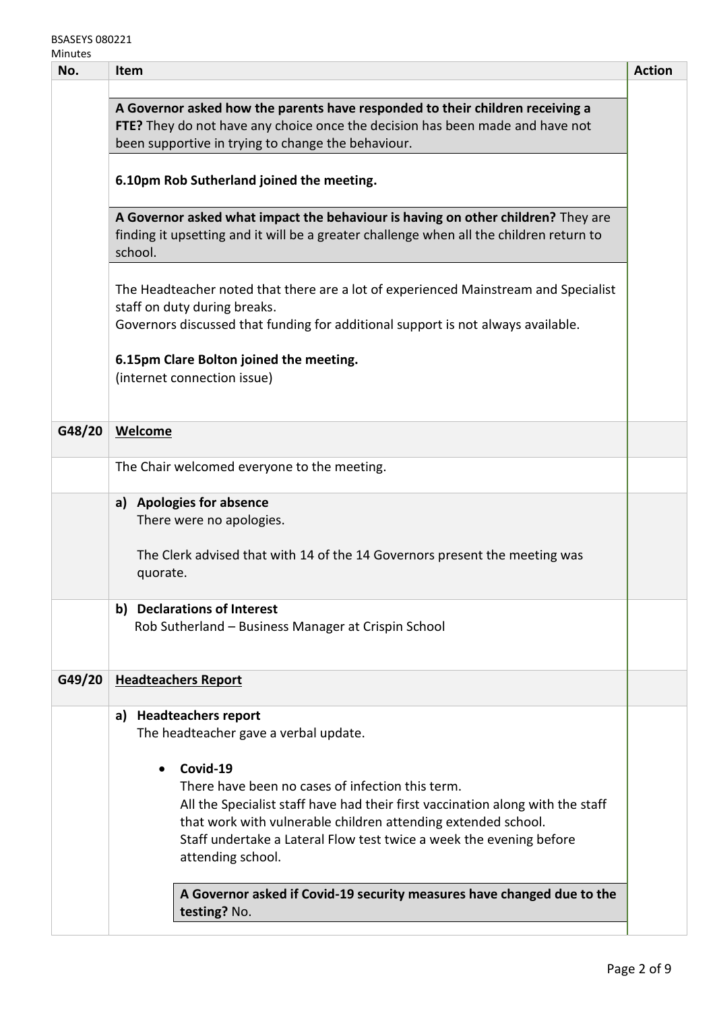BSASEYS 080221 **Minutes** 

| A Governor asked how the parents have responded to their children receiving a<br>FTE? They do not have any choice once the decision has been made and have not<br>been supportive in trying to change the behaviour.<br>6.10pm Rob Sutherland joined the meeting.<br>A Governor asked what impact the behaviour is having on other children? They are<br>finding it upsetting and it will be a greater challenge when all the children return to<br>school.<br>The Headteacher noted that there are a lot of experienced Mainstream and Specialist<br>staff on duty during breaks.<br>Governors discussed that funding for additional support is not always available.<br>6.15pm Clare Bolton joined the meeting.<br>(internet connection issue)<br><b>Welcome</b><br>The Chair welcomed everyone to the meeting. |
|-------------------------------------------------------------------------------------------------------------------------------------------------------------------------------------------------------------------------------------------------------------------------------------------------------------------------------------------------------------------------------------------------------------------------------------------------------------------------------------------------------------------------------------------------------------------------------------------------------------------------------------------------------------------------------------------------------------------------------------------------------------------------------------------------------------------|
|                                                                                                                                                                                                                                                                                                                                                                                                                                                                                                                                                                                                                                                                                                                                                                                                                   |
|                                                                                                                                                                                                                                                                                                                                                                                                                                                                                                                                                                                                                                                                                                                                                                                                                   |
|                                                                                                                                                                                                                                                                                                                                                                                                                                                                                                                                                                                                                                                                                                                                                                                                                   |
|                                                                                                                                                                                                                                                                                                                                                                                                                                                                                                                                                                                                                                                                                                                                                                                                                   |
|                                                                                                                                                                                                                                                                                                                                                                                                                                                                                                                                                                                                                                                                                                                                                                                                                   |
|                                                                                                                                                                                                                                                                                                                                                                                                                                                                                                                                                                                                                                                                                                                                                                                                                   |
|                                                                                                                                                                                                                                                                                                                                                                                                                                                                                                                                                                                                                                                                                                                                                                                                                   |
| a) Apologies for absence<br>There were no apologies.<br>The Clerk advised that with 14 of the 14 Governors present the meeting was<br>quorate.                                                                                                                                                                                                                                                                                                                                                                                                                                                                                                                                                                                                                                                                    |
| b) Declarations of Interest<br>Rob Sutherland - Business Manager at Crispin School                                                                                                                                                                                                                                                                                                                                                                                                                                                                                                                                                                                                                                                                                                                                |
| <b>Headteachers Report</b>                                                                                                                                                                                                                                                                                                                                                                                                                                                                                                                                                                                                                                                                                                                                                                                        |
| <b>Headteachers report</b><br>a)<br>The headteacher gave a verbal update.<br>Covid-19<br>$\bullet$<br>There have been no cases of infection this term.<br>All the Specialist staff have had their first vaccination along with the staff<br>that work with vulnerable children attending extended school.<br>Staff undertake a Lateral Flow test twice a week the evening before<br>attending school.<br>A Governor asked if Covid-19 security measures have changed due to the                                                                                                                                                                                                                                                                                                                                   |
|                                                                                                                                                                                                                                                                                                                                                                                                                                                                                                                                                                                                                                                                                                                                                                                                                   |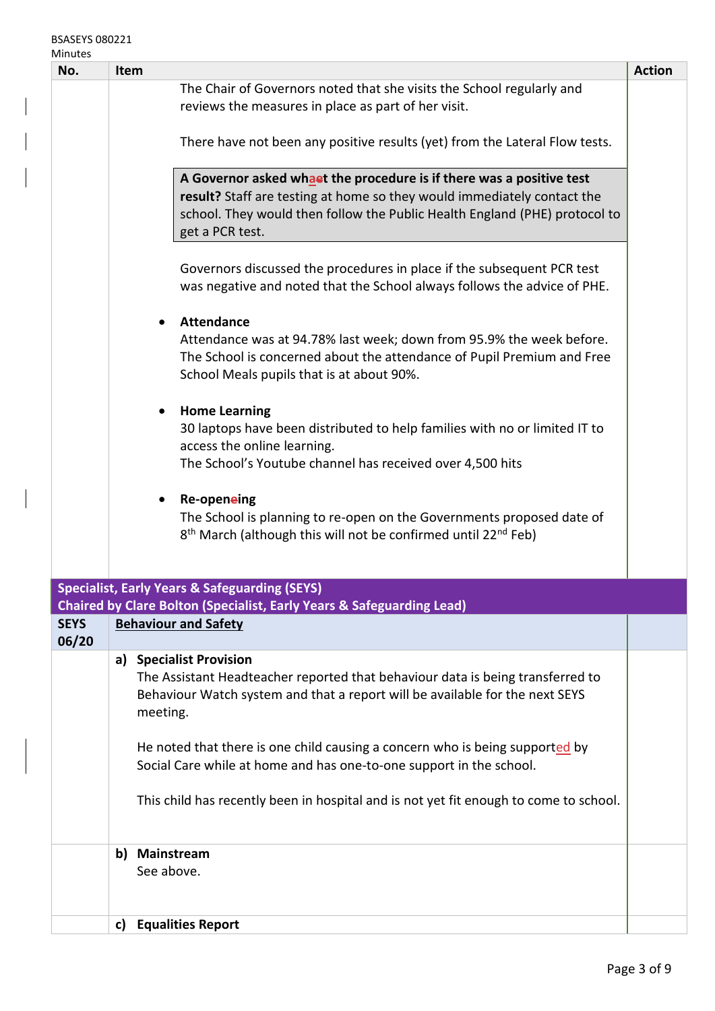| No.         | <b>Item</b>                                                                                                                                                                                                                                                  | <b>Action</b> |
|-------------|--------------------------------------------------------------------------------------------------------------------------------------------------------------------------------------------------------------------------------------------------------------|---------------|
|             | The Chair of Governors noted that she visits the School regularly and                                                                                                                                                                                        |               |
|             | reviews the measures in place as part of her visit.                                                                                                                                                                                                          |               |
|             | There have not been any positive results (yet) from the Lateral Flow tests.                                                                                                                                                                                  |               |
|             | A Governor asked whaet the procedure is if there was a positive test<br>result? Staff are testing at home so they would immediately contact the<br>school. They would then follow the Public Health England (PHE) protocol to<br>get a PCR test.             |               |
|             | Governors discussed the procedures in place if the subsequent PCR test<br>was negative and noted that the School always follows the advice of PHE.<br><b>Attendance</b><br>$\bullet$<br>Attendance was at 94.78% last week; down from 95.9% the week before. |               |
|             | The School is concerned about the attendance of Pupil Premium and Free<br>School Meals pupils that is at about 90%.                                                                                                                                          |               |
|             | <b>Home Learning</b><br>$\bullet$<br>30 laptops have been distributed to help families with no or limited IT to<br>access the online learning.<br>The School's Youtube channel has received over 4,500 hits                                                  |               |
|             | Re-openeing<br>The School is planning to re-open on the Governments proposed date of<br>8 <sup>th</sup> March (although this will not be confirmed until 22 <sup>nd</sup> Feb)                                                                               |               |
|             | <b>Specialist, Early Years &amp; Safeguarding (SEYS)</b>                                                                                                                                                                                                     |               |
| <b>SEYS</b> | <b>Chaired by Clare Bolton (Specialist, Early Years &amp; Safeguarding Lead)</b><br><b>Behaviour and Safety</b>                                                                                                                                              |               |
| 06/20       |                                                                                                                                                                                                                                                              |               |
|             | a) Specialist Provision<br>The Assistant Headteacher reported that behaviour data is being transferred to<br>Behaviour Watch system and that a report will be available for the next SEYS<br>meeting.                                                        |               |
|             | He noted that there is one child causing a concern who is being supported by<br>Social Care while at home and has one-to-one support in the school.                                                                                                          |               |
|             | This child has recently been in hospital and is not yet fit enough to come to school.                                                                                                                                                                        |               |
|             | b) Mainstream<br>See above.                                                                                                                                                                                                                                  |               |
|             | <b>Equalities Report</b><br>c)                                                                                                                                                                                                                               |               |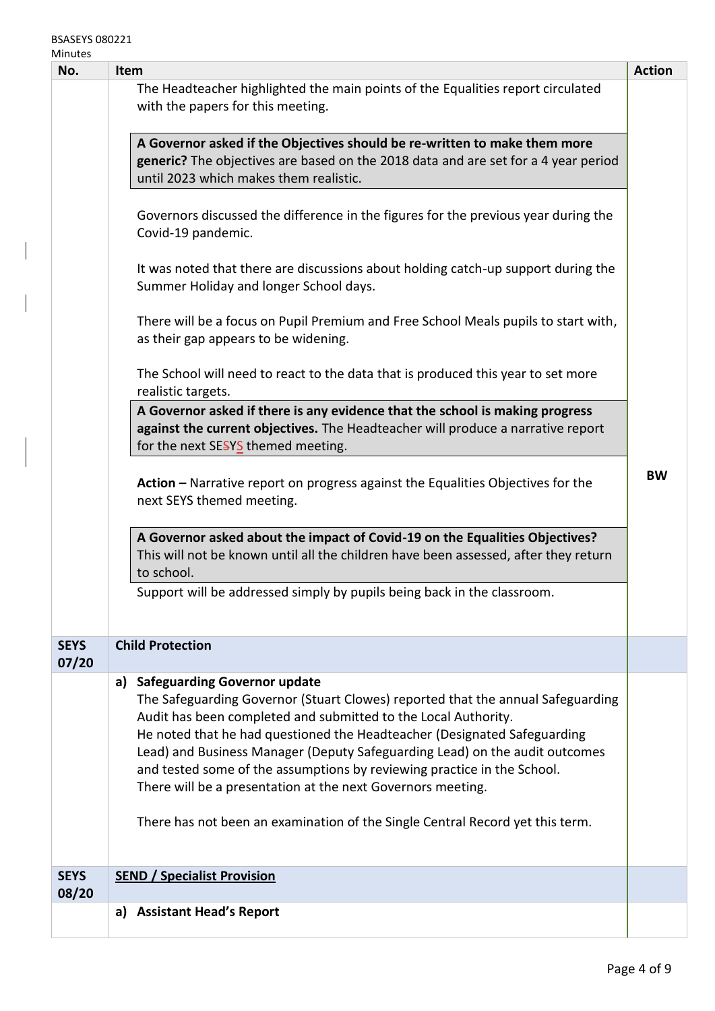| No.                  | Item                                                                                                                                                                                                                                                                                                                                                                                                                                                                                                | <b>Action</b> |
|----------------------|-----------------------------------------------------------------------------------------------------------------------------------------------------------------------------------------------------------------------------------------------------------------------------------------------------------------------------------------------------------------------------------------------------------------------------------------------------------------------------------------------------|---------------|
|                      | The Headteacher highlighted the main points of the Equalities report circulated<br>with the papers for this meeting.                                                                                                                                                                                                                                                                                                                                                                                |               |
|                      | A Governor asked if the Objectives should be re-written to make them more<br>generic? The objectives are based on the 2018 data and are set for a 4 year period<br>until 2023 which makes them realistic.                                                                                                                                                                                                                                                                                           |               |
|                      | Governors discussed the difference in the figures for the previous year during the<br>Covid-19 pandemic.                                                                                                                                                                                                                                                                                                                                                                                            |               |
|                      | It was noted that there are discussions about holding catch-up support during the<br>Summer Holiday and longer School days.                                                                                                                                                                                                                                                                                                                                                                         |               |
|                      | There will be a focus on Pupil Premium and Free School Meals pupils to start with,<br>as their gap appears to be widening.                                                                                                                                                                                                                                                                                                                                                                          |               |
|                      | The School will need to react to the data that is produced this year to set more<br>realistic targets.                                                                                                                                                                                                                                                                                                                                                                                              |               |
|                      | A Governor asked if there is any evidence that the school is making progress<br>against the current objectives. The Headteacher will produce a narrative report<br>for the next SESYS themed meeting.                                                                                                                                                                                                                                                                                               |               |
|                      | Action – Narrative report on progress against the Equalities Objectives for the<br>next SEYS themed meeting.                                                                                                                                                                                                                                                                                                                                                                                        | <b>BW</b>     |
|                      | A Governor asked about the impact of Covid-19 on the Equalities Objectives?<br>This will not be known until all the children have been assessed, after they return<br>to school.                                                                                                                                                                                                                                                                                                                    |               |
|                      | Support will be addressed simply by pupils being back in the classroom.                                                                                                                                                                                                                                                                                                                                                                                                                             |               |
| <b>SEYS</b><br>07/20 | <b>Child Protection</b>                                                                                                                                                                                                                                                                                                                                                                                                                                                                             |               |
|                      | <b>Safeguarding Governor update</b><br>a)<br>The Safeguarding Governor (Stuart Clowes) reported that the annual Safeguarding<br>Audit has been completed and submitted to the Local Authority.<br>He noted that he had questioned the Headteacher (Designated Safeguarding<br>Lead) and Business Manager (Deputy Safeguarding Lead) on the audit outcomes<br>and tested some of the assumptions by reviewing practice in the School.<br>There will be a presentation at the next Governors meeting. |               |
|                      | There has not been an examination of the Single Central Record yet this term.                                                                                                                                                                                                                                                                                                                                                                                                                       |               |
| <b>SEYS</b>          | <b>SEND / Specialist Provision</b>                                                                                                                                                                                                                                                                                                                                                                                                                                                                  |               |
| 08/20                |                                                                                                                                                                                                                                                                                                                                                                                                                                                                                                     |               |
|                      | a) Assistant Head's Report                                                                                                                                                                                                                                                                                                                                                                                                                                                                          |               |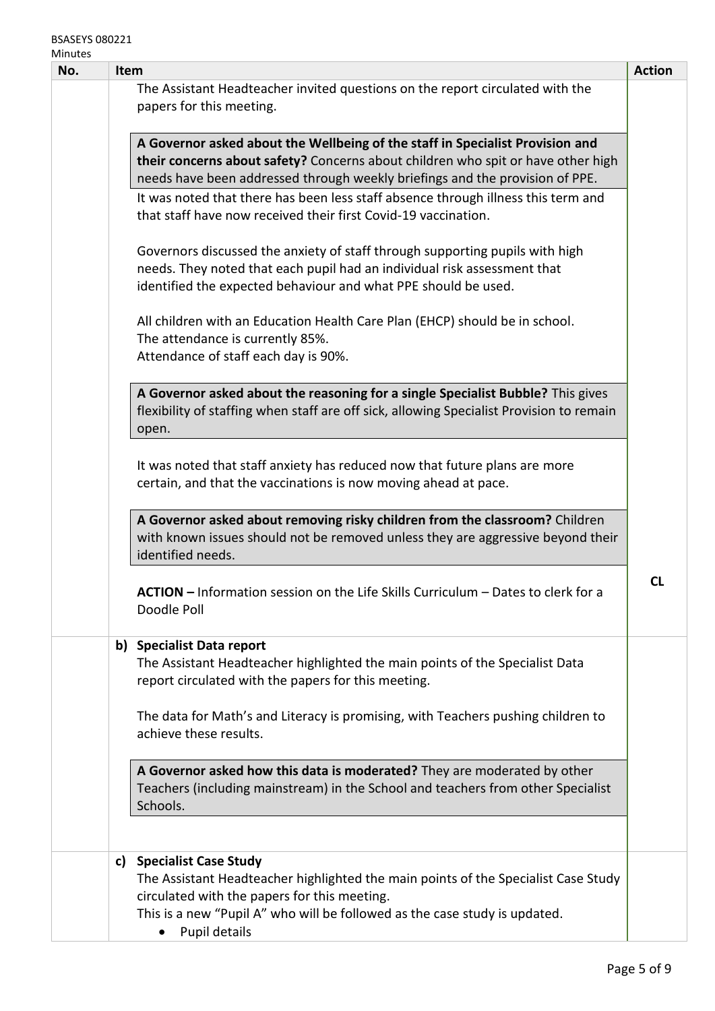## BSASEYS 080221 Minutes

| ivilitutes<br>No. | Item                                                                                                                                                                                                                                              | <b>Action</b> |
|-------------------|---------------------------------------------------------------------------------------------------------------------------------------------------------------------------------------------------------------------------------------------------|---------------|
|                   | The Assistant Headteacher invited questions on the report circulated with the<br>papers for this meeting.                                                                                                                                         |               |
|                   | A Governor asked about the Wellbeing of the staff in Specialist Provision and<br>their concerns about safety? Concerns about children who spit or have other high<br>needs have been addressed through weekly briefings and the provision of PPE. |               |
|                   | It was noted that there has been less staff absence through illness this term and<br>that staff have now received their first Covid-19 vaccination.                                                                                               |               |
|                   | Governors discussed the anxiety of staff through supporting pupils with high<br>needs. They noted that each pupil had an individual risk assessment that<br>identified the expected behaviour and what PPE should be used.                        |               |
|                   | All children with an Education Health Care Plan (EHCP) should be in school.<br>The attendance is currently 85%.<br>Attendance of staff each day is 90%.                                                                                           |               |
|                   | A Governor asked about the reasoning for a single Specialist Bubble? This gives<br>flexibility of staffing when staff are off sick, allowing Specialist Provision to remain<br>open.                                                              |               |
|                   | It was noted that staff anxiety has reduced now that future plans are more<br>certain, and that the vaccinations is now moving ahead at pace.                                                                                                     |               |
|                   | A Governor asked about removing risky children from the classroom? Children<br>with known issues should not be removed unless they are aggressive beyond their<br>identified needs.                                                               |               |
|                   | <b>ACTION -</b> Information session on the Life Skills Curriculum - Dates to clerk for a<br>Doodle Poll                                                                                                                                           | <b>CL</b>     |
|                   | b) Specialist Data report<br>The Assistant Headteacher highlighted the main points of the Specialist Data<br>report circulated with the papers for this meeting.                                                                                  |               |
|                   | The data for Math's and Literacy is promising, with Teachers pushing children to<br>achieve these results.                                                                                                                                        |               |
|                   | A Governor asked how this data is moderated? They are moderated by other<br>Teachers (including mainstream) in the School and teachers from other Specialist<br>Schools.                                                                          |               |
|                   | c) Specialist Case Study<br>The Assistant Headteacher highlighted the main points of the Specialist Case Study                                                                                                                                    |               |
|                   | circulated with the papers for this meeting.<br>This is a new "Pupil A" who will be followed as the case study is updated.<br>Pupil details                                                                                                       |               |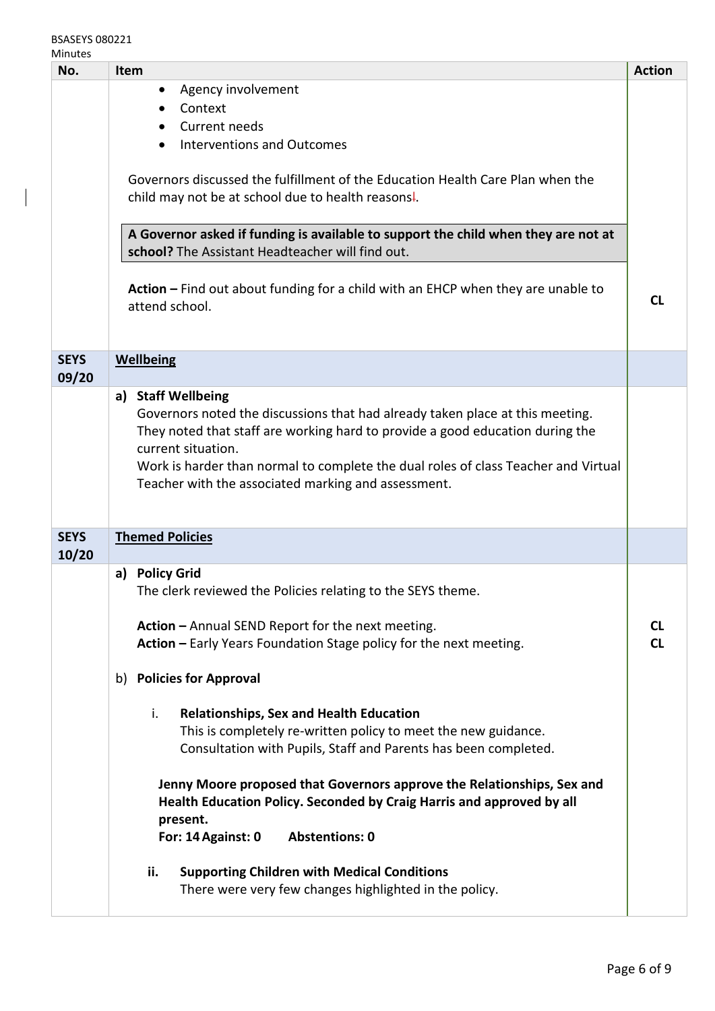## BSASEYS 080221 Minutes

| No.                  | Item                                                                                                                                                                                                                                                                                                                              | <b>Action</b>          |  |  |
|----------------------|-----------------------------------------------------------------------------------------------------------------------------------------------------------------------------------------------------------------------------------------------------------------------------------------------------------------------------------|------------------------|--|--|
|                      | Agency involvement<br>$\bullet$                                                                                                                                                                                                                                                                                                   |                        |  |  |
|                      | Context                                                                                                                                                                                                                                                                                                                           |                        |  |  |
|                      | Current needs                                                                                                                                                                                                                                                                                                                     |                        |  |  |
|                      | <b>Interventions and Outcomes</b><br>$\bullet$                                                                                                                                                                                                                                                                                    |                        |  |  |
|                      | Governors discussed the fulfillment of the Education Health Care Plan when the<br>child may not be at school due to health reasons.                                                                                                                                                                                               |                        |  |  |
|                      | A Governor asked if funding is available to support the child when they are not at<br>school? The Assistant Headteacher will find out.                                                                                                                                                                                            |                        |  |  |
|                      | Action - Find out about funding for a child with an EHCP when they are unable to<br>attend school.                                                                                                                                                                                                                                | <b>CL</b>              |  |  |
| <b>SEYS</b><br>09/20 | <b>Wellbeing</b>                                                                                                                                                                                                                                                                                                                  |                        |  |  |
|                      | a) Staff Wellbeing                                                                                                                                                                                                                                                                                                                |                        |  |  |
|                      | Governors noted the discussions that had already taken place at this meeting.<br>They noted that staff are working hard to provide a good education during the<br>current situation.<br>Work is harder than normal to complete the dual roles of class Teacher and Virtual<br>Teacher with the associated marking and assessment. |                        |  |  |
| <b>SEYS</b><br>10/20 | <b>Themed Policies</b>                                                                                                                                                                                                                                                                                                            |                        |  |  |
|                      | <b>Policy Grid</b><br>a)                                                                                                                                                                                                                                                                                                          |                        |  |  |
|                      | The clerk reviewed the Policies relating to the SEYS theme.                                                                                                                                                                                                                                                                       |                        |  |  |
|                      | Action - Annual SEND Report for the next meeting.<br>Action - Early Years Foundation Stage policy for the next meeting.                                                                                                                                                                                                           | <b>CL</b><br><b>CL</b> |  |  |
|                      | <b>Policies for Approval</b><br>b)                                                                                                                                                                                                                                                                                                |                        |  |  |
|                      | i.<br><b>Relationships, Sex and Health Education</b><br>This is completely re-written policy to meet the new guidance.<br>Consultation with Pupils, Staff and Parents has been completed.                                                                                                                                         |                        |  |  |
|                      | Jenny Moore proposed that Governors approve the Relationships, Sex and<br>Health Education Policy. Seconded by Craig Harris and approved by all<br>present.<br><b>Abstentions: 0</b><br>For: 14 Against: 0                                                                                                                        |                        |  |  |
|                      | <b>Supporting Children with Medical Conditions</b><br>ii.<br>There were very few changes highlighted in the policy.                                                                                                                                                                                                               |                        |  |  |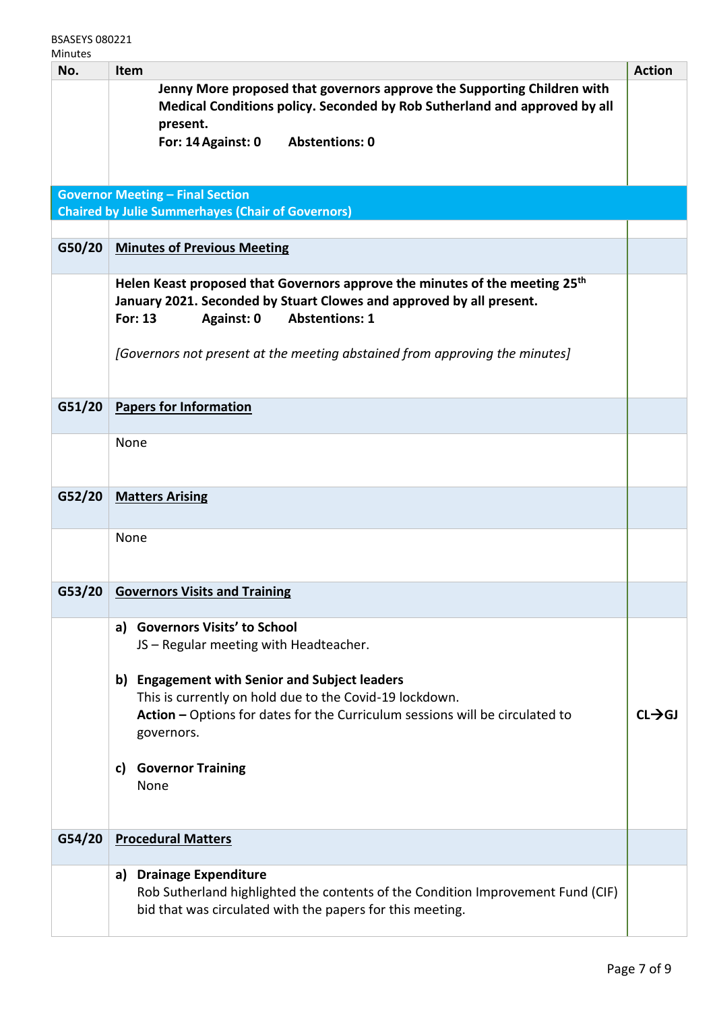| No.    | Item                                                                                                                                                                                                                     | <b>Action</b>       |
|--------|--------------------------------------------------------------------------------------------------------------------------------------------------------------------------------------------------------------------------|---------------------|
|        | Jenny More proposed that governors approve the Supporting Children with<br>Medical Conditions policy. Seconded by Rob Sutherland and approved by all<br>present.                                                         |                     |
|        | <b>Abstentions: 0</b><br>For: 14 Against: 0                                                                                                                                                                              |                     |
|        | <b>Governor Meeting - Final Section</b>                                                                                                                                                                                  |                     |
|        | <b>Chaired by Julie Summerhayes (Chair of Governors)</b>                                                                                                                                                                 |                     |
| G50/20 | <b>Minutes of Previous Meeting</b>                                                                                                                                                                                       |                     |
|        | Helen Keast proposed that Governors approve the minutes of the meeting 25 <sup>th</sup><br>January 2021. Seconded by Stuart Clowes and approved by all present.<br><b>For: 13</b><br><b>Abstentions: 1</b><br>Against: 0 |                     |
|        | [Governors not present at the meeting abstained from approving the minutes]                                                                                                                                              |                     |
| G51/20 | <b>Papers for Information</b>                                                                                                                                                                                            |                     |
|        | None                                                                                                                                                                                                                     |                     |
| G52/20 | <b>Matters Arising</b>                                                                                                                                                                                                   |                     |
|        | None                                                                                                                                                                                                                     |                     |
| G53/20 | <b>Governors Visits and Training</b>                                                                                                                                                                                     |                     |
|        | a) Governors Visits' to School<br>JS - Regular meeting with Headteacher.                                                                                                                                                 |                     |
|        | b) Engagement with Senior and Subject leaders<br>This is currently on hold due to the Covid-19 lockdown.<br>Action - Options for dates for the Curriculum sessions will be circulated to<br>governors.                   | $CI \rightarrow CI$ |
|        | <b>Governor Training</b><br>c)<br>None                                                                                                                                                                                   |                     |
| G54/20 | <b>Procedural Matters</b>                                                                                                                                                                                                |                     |
|        | a) Drainage Expenditure<br>Rob Sutherland highlighted the contents of the Condition Improvement Fund (CIF)<br>bid that was circulated with the papers for this meeting.                                                  |                     |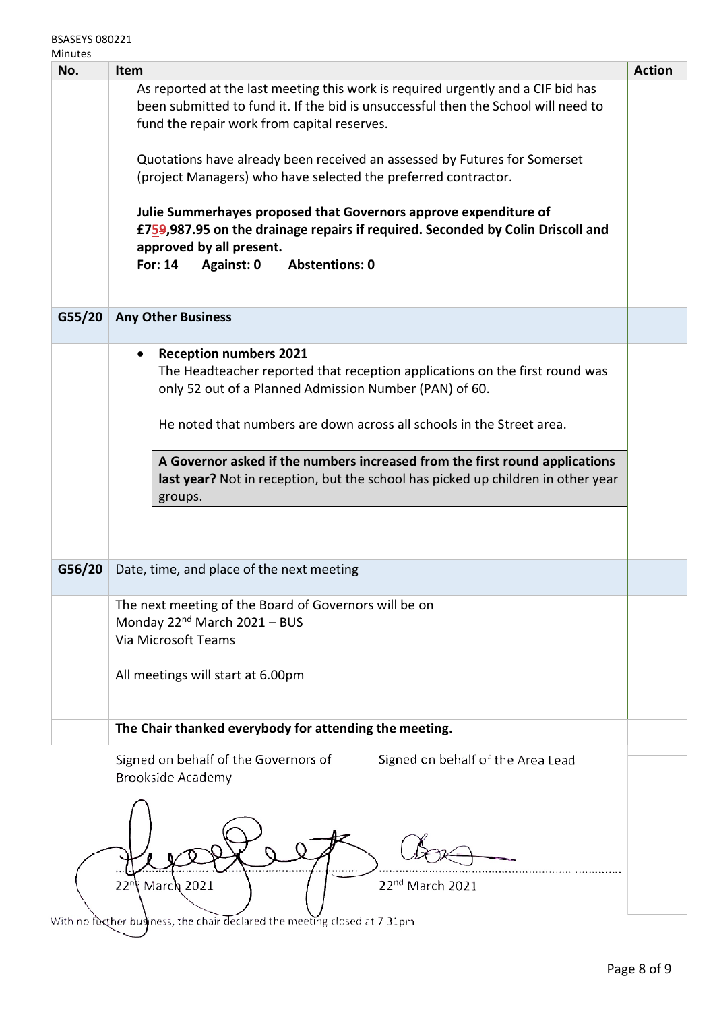| iviinutes<br>No. | <b>Item</b>                                                                                                                                                                                                                              | <b>Action</b> |  |  |
|------------------|------------------------------------------------------------------------------------------------------------------------------------------------------------------------------------------------------------------------------------------|---------------|--|--|
|                  | As reported at the last meeting this work is required urgently and a CIF bid has<br>been submitted to fund it. If the bid is unsuccessful then the School will need to<br>fund the repair work from capital reserves.                    |               |  |  |
|                  | Quotations have already been received an assessed by Futures for Somerset<br>(project Managers) who have selected the preferred contractor.                                                                                              |               |  |  |
|                  | Julie Summerhayes proposed that Governors approve expenditure of<br>£759,987.95 on the drainage repairs if required. Seconded by Colin Driscoll and<br>approved by all present.<br><b>For: 14</b><br>Against: 0<br><b>Abstentions: 0</b> |               |  |  |
| G55/20           | <b>Any Other Business</b>                                                                                                                                                                                                                |               |  |  |
|                  | <b>Reception numbers 2021</b><br>$\bullet$<br>The Headteacher reported that reception applications on the first round was<br>only 52 out of a Planned Admission Number (PAN) of 60.                                                      |               |  |  |
|                  | He noted that numbers are down across all schools in the Street area.                                                                                                                                                                    |               |  |  |
|                  | A Governor asked if the numbers increased from the first round applications<br>last year? Not in reception, but the school has picked up children in other year<br>groups.                                                               |               |  |  |
|                  |                                                                                                                                                                                                                                          |               |  |  |
| G56/20           | Date, time, and place of the next meeting                                                                                                                                                                                                |               |  |  |
|                  | The next meeting of the Board of Governors will be on<br>Monday 22 <sup>nd</sup> March 2021 - BUS<br>Via Microsoft Teams                                                                                                                 |               |  |  |
|                  | All meetings will start at 6.00pm                                                                                                                                                                                                        |               |  |  |
|                  | The Chair thanked everybody for attending the meeting.                                                                                                                                                                                   |               |  |  |
|                  | Signed on behalf of the Governors of<br>Signed on behalf of the Area Lead<br><b>Brookside Academy</b>                                                                                                                                    |               |  |  |
|                  |                                                                                                                                                                                                                                          |               |  |  |

With no further business, the chair declared the meeting closed at 7.31pm.